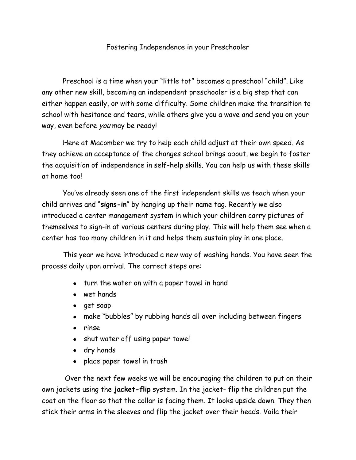## Fostering Independence in your Preschooler

Preschool is a time when your "little tot" becomes a preschool "child". Like any other new skill, becoming an independent preschooler is a big step that can either happen easily, or with some difficulty. Some children make the transition to school with hesitance and tears, while others give you a wave and send you on your way, even before you may be ready!

Here at Macomber we try to help each child adjust at their own speed. As they achieve an acceptance of the changes school brings about, we begin to foster the acquisition of independence in self-help skills. You can help us with these skills at home too!

You've already seen one of the first independent skills we teach when your child arrives and "**signs-in**" by hanging up their name tag. Recently we also introduced a center management system in which your children carry pictures of themselves to sign-in at various centers during play. This will help them see when a center has too many children in it and helps them sustain play in one place.

This year we have introduced a new way of washing hands. You have seen the process daily upon arrival. The correct steps are:

- turn the water on with a paper towel in hand
- wet hands
- get soap
- make "bubbles" by rubbing hands all over including between fingers
- rinse
- shut water off using paper towel
- dry hands
- place paper towel in trash

Over the next few weeks we will be encouraging the children to put on their own jackets using the **jacket-flip** system. In the jacket- flip the children put the coat on the floor so that the collar is facing them. It looks upside down. They then stick their arms in the sleeves and flip the jacket over their heads. Voila their